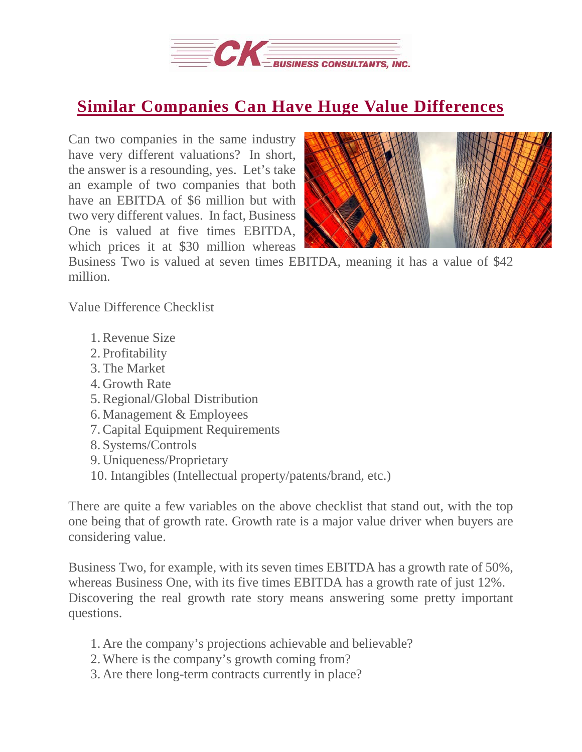

## **Similar Companies Can Have Huge Value [Differences](https://deal-studio.com/similar-companies-can-huge-value-differences/)**

Can two companies in the same industry have very different valuations? In short, the answer is a resounding, yes. Let's take an example of two companies that both have an EBITDA of \$6 million but with two very different values. In fact, Business One is valued at five times EBITDA, which prices it at \$30 million whereas



Business Two is valued at seven times EBITDA, meaning it has a value of \$42 million.

Value Difference Checklist

- 1.Revenue Size
- 2. Profitability
- 3.The Market
- 4. Growth Rate
- 5.Regional/Global Distribution
- 6. Management & Employees
- 7.Capital Equipment Requirements
- 8. Systems/Controls
- 9. Uniqueness/Proprietary
- 10. Intangibles (Intellectual property/patents/brand, etc.)

There are quite a few variables on the above checklist that stand out, with the top one being that of growth rate. Growth rate is a major value driver when buyers are considering value.

Business Two, for example, with its seven times EBITDA has a growth rate of 50%, whereas Business One, with its five times EBITDA has a growth rate of just 12%. Discovering the real growth rate story means answering some pretty important questions.

- 1. Are the company's projections achievable and believable?
- 2.Where is the company's growth coming from?
- 3. Are there long-term contracts currently in place?